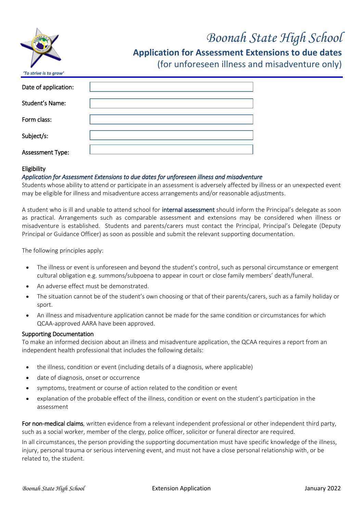

# *Boonah State High School*

**Application for Assessment Extensions to due dates**

(for unforeseen illness and misadventure only)

| Date of application:    |  |
|-------------------------|--|
|                         |  |
| <b>Student's Name:</b>  |  |
|                         |  |
| Form class:             |  |
|                         |  |
| Subject/s:              |  |
|                         |  |
| <b>Assessment Type:</b> |  |
|                         |  |

# Eligibility

# *Application for Assessment Extensions to due dates for unforeseen illness and misadventure*

Students whose ability to attend or participate in an assessment is adversely affected by illness or an unexpected event may be eligible for illness and misadventure access arrangements and/or reasonable adjustments.

A student who is ill and unable to attend school for internal assessment should inform the Principal's delegate as soon as practical. Arrangements such as comparable assessment and extensions may be considered when illness or misadventure is established. Students and parents/carers must contact the Principal, Principal's Delegate (Deputy Principal or Guidance Officer) as soon as possible and submit the relevant supporting documentation.

The following principles apply:

- The illness or event is unforeseen and beyond the student's control, such as personal circumstance or emergent cultural obligation e.g. summons/subpoena to appear in court or close family members' death/funeral.
- An adverse effect must be demonstrated.
- The situation cannot be of the student's own choosing or that of their parents/carers, such as a family holiday or sport.
- An illness and misadventure application cannot be made for the same condition or circumstances for which QCAA-approved AARA have been approved.

#### Supporting Documentation

To make an informed decision about an illness and misadventure application, the QCAA requires a report from an independent health professional that includes the following details:

- the illness, condition or event (including details of a diagnosis, where applicable)
- date of diagnosis, onset or occurrence
- symptoms, treatment or course of action related to the condition or event
- explanation of the probable effect of the illness, condition or event on the student's participation in the assessment

For non-medical claims, written evidence from a relevant independent professional or other independent third party, such as a social worker, member of the clergy, police officer, solicitor or funeral director are required.

In all circumstances, the person providing the supporting documentation must have specific knowledge of the illness, injury, personal trauma or serious intervening event, and must not have a close personal relationship with, or be related to, the student.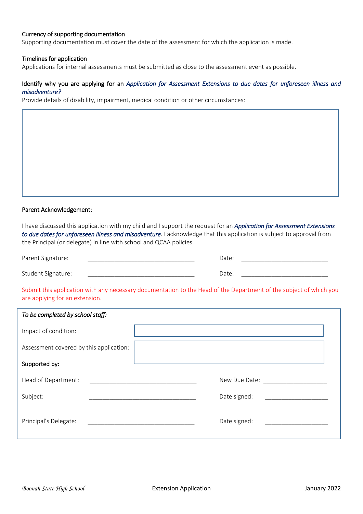#### Currency of supporting documentation

Supporting documentation must cover the date of the assessment for which the application is made.

#### Timelines for application

Applications for internal assessments must be submitted as close to the assessment event as possible.

#### Identify why you are applying for an *Application for Assessment Extensions to due dates for unforeseen illness and misadventure?*

Provide details of disability, impairment, medical condition or other circumstances:

#### Parent Acknowledgement:

I have discussed this application with my child and I support the request for an *Application for Assessment Extensions to due dates for unforeseen illness and misadventure*. I acknowledge that this application is subject to approval from the Principal (or delegate) in line with school and QCAA policies.

| Parent Signature:  | Date: |  |
|--------------------|-------|--|
| Student Signature: | Date: |  |

Submit this application with any necessary documentation to the Head of the Department of the subject of which you are applying for an extension.

| To be completed by school staff:                                                   |                                                              |
|------------------------------------------------------------------------------------|--------------------------------------------------------------|
| Impact of condition:                                                               |                                                              |
| Assessment covered by this application:                                            |                                                              |
| Supported by:                                                                      |                                                              |
| Head of Department:<br><u> 1980 - Jan Barbara, manazarta bashkar a shekara t</u>   | New Due Date: New Due Date:                                  |
| Subject:                                                                           | Date signed:<br>the control of the control of the control of |
| Principal's Delegate:<br><u> 1980 - Jan Barbara, manazarta da kasar Indonesia.</u> | Date signed:<br><u> 1980 - Jan Barbarat, politik a</u>       |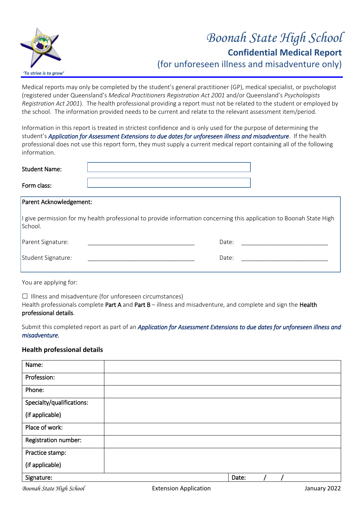

# *Boonah State High School* **Confidential Medical Report** (for unforeseen illness and misadventure only)

Medical reports may only be completed by the student's general practitioner (GP), medical specialist, or psychologist (registered under Queensland's *Medical Practitioners Registration Act 2001* and/or Queensland's *Psychologists Registration Act 2001*). The health professional providing a report must not be related to the student or employed by the school. The information provided needs to be current and relate to the relevant assessment item/period.

Information in this report is treated in strictest confidence and is only used for the purpose of determining the student's *Application for Assessment Extensions to due dates for unforeseen illness and misadventure*. If the health professional does not use this report form, they must supply a current medical report containing all of the following information.

| <b>Student Name:</b> |  |
|----------------------|--|
| Form class:          |  |

# Parent Acknowledgement:

I give permission for my health professional to provide information concerning this application to Boonah State High School.

| Parent Signature:  | Date: |  |
|--------------------|-------|--|
| Student Signature: | Date: |  |

You are applying for:

 $\Box$  Illness and misadventure (for unforeseen circumstances) Health professionals complete Part A and Part B – illness and misadventure, and complete and sign the Health professional details.

Submit this completed report as part of an *Application for Assessment Extensions to due dates for unforeseen illness and misadventure.* 

# **Health professional details**

| Name:                     |       |
|---------------------------|-------|
| Profession:               |       |
| Phone:                    |       |
| Specialty/qualifications: |       |
| (if applicable)           |       |
| Place of work:            |       |
| Registration number:      |       |
| Practice stamp:           |       |
| (if applicable)           |       |
| Signature:                | Date: |